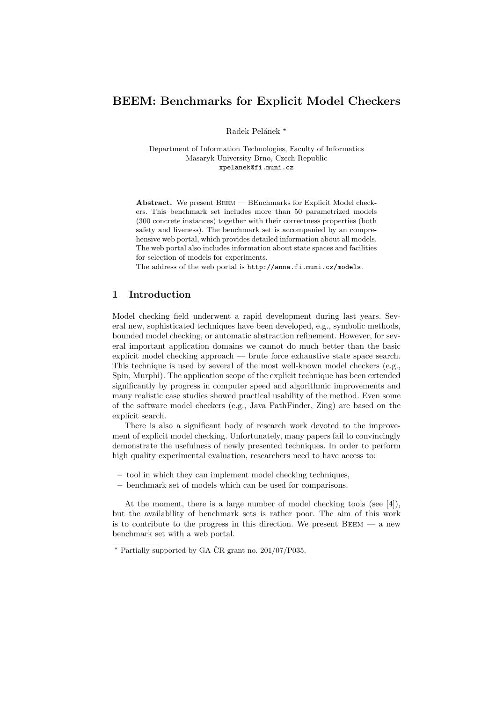# BEEM: Benchmarks for Explicit Model Checkers

Radek Pelánek<sup>\*</sup>

Department of Information Technologies, Faculty of Informatics Masaryk University Brno, Czech Republic xpelanek@fi.muni.cz

Abstract. We present Beem — BEnchmarks for Explicit Model checkers. This benchmark set includes more than 50 parametrized models (300 concrete instances) together with their correctness properties (both safety and liveness). The benchmark set is accompanied by an comprehensive web portal, which provides detailed information about all models. The web portal also includes information about state spaces and facilities for selection of models for experiments.

The address of the web portal is http://anna.fi.muni.cz/models.

### 1 Introduction

Model checking field underwent a rapid development during last years. Several new, sophisticated techniques have been developed, e.g., symbolic methods, bounded model checking, or automatic abstraction refinement. However, for several important application domains we cannot do much better than the basic explicit model checking approach — brute force exhaustive state space search. This technique is used by several of the most well-known model checkers (e.g., Spin, Murphi). The application scope of the explicit technique has been extended significantly by progress in computer speed and algorithmic improvements and many realistic case studies showed practical usability of the method. Even some of the software model checkers (e.g., Java PathFinder, Zing) are based on the explicit search.

There is also a significant body of research work devoted to the improvement of explicit model checking. Unfortunately, many papers fail to convincingly demonstrate the usefulness of newly presented techniques. In order to perform high quality experimental evaluation, researchers need to have access to:

- tool in which they can implement model checking techniques,
- benchmark set of models which can be used for comparisons.

At the moment, there is a large number of model checking tools (see [4]), but the availability of benchmark sets is rather poor. The aim of this work is to contribute to the progress in this direction. We present  $BEEM - a$  new benchmark set with a web portal.

 $*$  Partially supported by GA ČR grant no. 201/07/P035.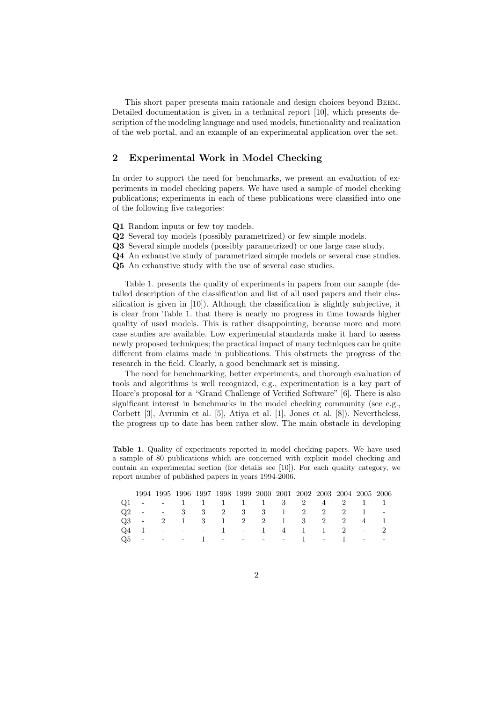This short paper presents main rationale and design choices beyond Beem. Detailed documentation is given in a technical report [10], which presents description of the modeling language and used models, functionality and realization of the web portal, and an example of an experimental application over the set.

### 2 Experimental Work in Model Checking

In order to support the need for benchmarks, we present an evaluation of experiments in model checking papers. We have used a sample of model checking publications; experiments in each of these publications were classified into one of the following five categories:

- Q1 Random inputs or few toy models.
- Q2 Several toy models (possibly parametrized) or few simple models.
- Q3 Several simple models (possibly parametrized) or one large case study.
- Q4 An exhaustive study of parametrized simple models or several case studies.
- Q5 An exhaustive study with the use of several case studies.

Table 1. presents the quality of experiments in papers from our sample (detailed description of the classification and list of all used papers and their classification is given in [10]). Although the classification is slightly subjective, it is clear from Table 1. that there is nearly no progress in time towards higher quality of used models. This is rather disappointing, because more and more case studies are available. Low experimental standards make it hard to assess newly proposed techniques; the practical impact of many techniques can be quite different from claims made in publications. This obstructs the progress of the research in the field. Clearly, a good benchmark set is missing.

The need for benchmarking, better experiments, and thorough evaluation of tools and algorithms is well recognized, e.g., experimentation is a key part of Hoare's proposal for a "Grand Challenge of Verified Software" [6]. There is also significant interest in benchmarks in the model checking community (see e.g., Corbett [3], Avrunin et al. [5], Atiya et al. [1], Jones et al. [8]). Nevertheless, the progress up to date has been rather slow. The main obstacle in developing

Table 1. Quality of experiments reported in model checking papers. We have used a sample of 80 publications which are concerned with explicit model checking and contain an experimental section (for details see [10]). For each quality category, we report number of published papers in years 1994-2006.

|  |  |  |  | 1994 1995 1996 1997 1998 1999 2000 2001 2002 2003 2004 2005 2006 |  |  |
|--|--|--|--|------------------------------------------------------------------|--|--|
|  |  |  |  | $Q1$ - - 1 1 1 1 1 3 2 4 2 1 1                                   |  |  |
|  |  |  |  | $Q2$ - - 3 3 2 3 3 1 2 2 2 1 -                                   |  |  |
|  |  |  |  | 03 - 2 1 3 1 2 2 1 3 2 2 4 1                                     |  |  |
|  |  |  |  | $Q4$ 1 - - - 1 - 1 4 1 1 2 - 2                                   |  |  |
|  |  |  |  | $Q5$ - - - 1 - - - - 1 - 1 - -                                   |  |  |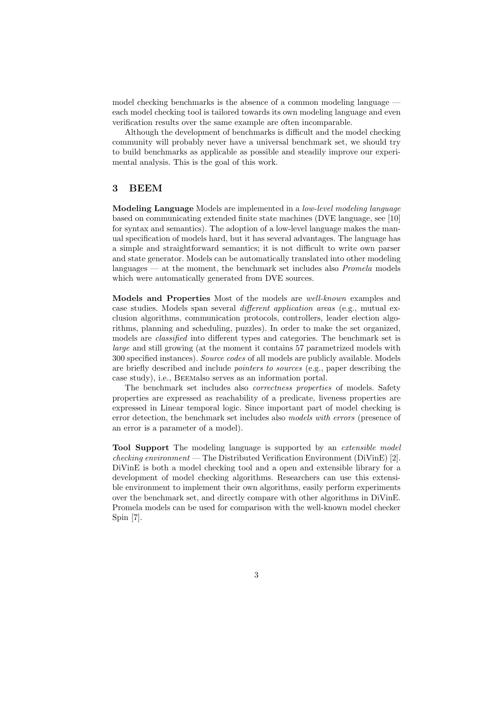model checking benchmarks is the absence of a common modeling language each model checking tool is tailored towards its own modeling language and even verification results over the same example are often incomparable.

Although the development of benchmarks is difficult and the model checking community will probably never have a universal benchmark set, we should try to build benchmarks as applicable as possible and steadily improve our experimental analysis. This is the goal of this work.

## 3 BEEM

Modeling Language Models are implemented in a low-level modeling language based on communicating extended finite state machines (DVE language, see [10] for syntax and semantics). The adoption of a low-level language makes the manual specification of models hard, but it has several advantages. The language has a simple and straightforward semantics; it is not difficult to write own parser and state generator. Models can be automatically translated into other modeling languages — at the moment, the benchmark set includes also Promela models which were automatically generated from DVE sources.

Models and Properties Most of the models are well-known examples and case studies. Models span several different application areas (e.g., mutual exclusion algorithms, communication protocols, controllers, leader election algorithms, planning and scheduling, puzzles). In order to make the set organized, models are *classified* into different types and categories. The benchmark set is large and still growing (at the moment it contains 57 parametrized models with 300 specified instances). Source codes of all models are publicly available. Models are briefly described and include pointers to sources (e.g., paper describing the case study), i.e., Beemalso serves as an information portal.

The benchmark set includes also correctness properties of models. Safety properties are expressed as reachability of a predicate, liveness properties are expressed in Linear temporal logic. Since important part of model checking is error detection, the benchmark set includes also models with errors (presence of an error is a parameter of a model).

Tool Support The modeling language is supported by an extensible model *checking environment* — The Distributed Verification Environment (DiVinE) [2]. DiVinE is both a model checking tool and a open and extensible library for a development of model checking algorithms. Researchers can use this extensible environment to implement their own algorithms, easily perform experiments over the benchmark set, and directly compare with other algorithms in DiVinE. Promela models can be used for comparison with the well-known model checker Spin [7].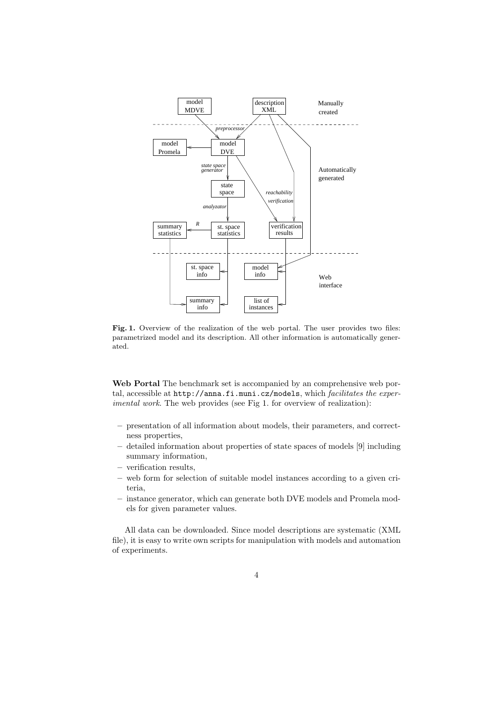

Fig. 1. Overview of the realization of the web portal. The user provides two files: parametrized model and its description. All other information is automatically generated.

Web Portal The benchmark set is accompanied by an comprehensive web portal, accessible at http://anna.fi.muni.cz/models, which facilitates the experimental work. The web provides (see Fig 1. for overview of realization):

- presentation of all information about models, their parameters, and correctness properties,
- detailed information about properties of state spaces of models [9] including summary information,
- verification results,
- web form for selection of suitable model instances according to a given criteria,
- instance generator, which can generate both DVE models and Promela models for given parameter values.

All data can be downloaded. Since model descriptions are systematic (XML file), it is easy to write own scripts for manipulation with models and automation of experiments.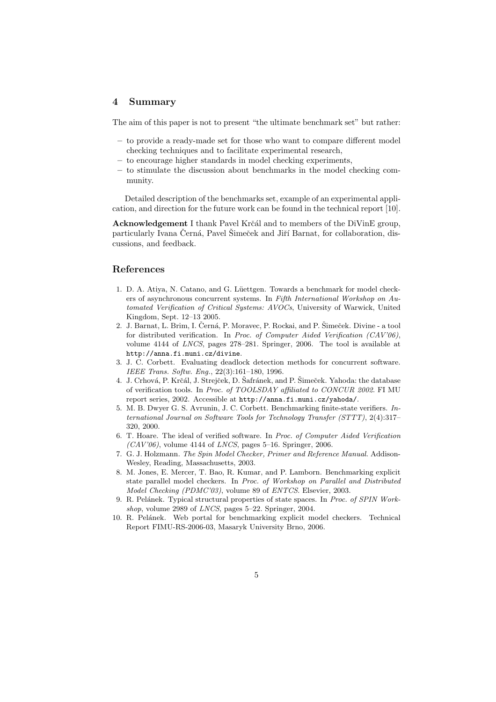#### 4 Summary

The aim of this paper is not to present "the ultimate benchmark set" but rather:

- to provide a ready-made set for those who want to compare different model checking techniques and to facilitate experimental research,
- to encourage higher standards in model checking experiments,
- to stimulate the discussion about benchmarks in the model checking community.

Detailed description of the benchmarks set, example of an experimental application, and direction for the future work can be found in the technical report [10].

Acknowledgement I thank Pavel Krčál and to members of the DiVinE group, particularly Ivana Černá, Pavel Šimeček and Jiří Barnat, for collaboration, discussions, and feedback.

# References

- 1. D. A. Atiya, N. Catano, and G. Lüettgen. Towards a benchmark for model checkers of asynchronous concurrent systems. In Fifth International Workshop on Automated Verification of Critical Systems: AVOCs, University of Warwick, United Kingdom, Sept. 12–13 2005.
- 2. J. Barnat, L. Brim, I. Černá, P. Moravec, P. Rockai, and P. Šimeček. Divine a tool for distributed verification. In Proc. of Computer Aided Verification (CAV'06), volume 4144 of LNCS, pages 278–281. Springer, 2006. The tool is available at http://anna.fi.muni.cz/divine.
- 3. J. C. Corbett. Evaluating deadlock detection methods for concurrent software. IEEE Trans. Softw. Eng., 22(3):161–180, 1996.
- 4. J. Crhová, P. Krčál, J. Strejček, D. Šafránek, and P. Šimeček. Yahoda: the database of verification tools. In Proc. of TOOLSDAY affiliated to CONCUR 2002. FI MU report series, 2002. Accessible at http://anna.fi.muni.cz/yahoda/.
- 5. M. B. Dwyer G. S. Avrunin, J. C. Corbett. Benchmarking finite-state verifiers. International Journal on Software Tools for Technology Transfer (STTT), 2(4):317– 320, 2000.
- 6. T. Hoare. The ideal of verified software. In Proc. of Computer Aided Verification  $(CAV'06)$ , volume 4144 of *LNCS*, pages 5–16. Springer, 2006.
- 7. G. J. Holzmann. The Spin Model Checker, Primer and Reference Manual. Addison-Wesley, Reading, Massachusetts, 2003.
- 8. M. Jones, E. Mercer, T. Bao, R. Kumar, and P. Lamborn. Benchmarking explicit state parallel model checkers. In Proc. of Workshop on Parallel and Distributed Model Checking (PDMC'03), volume 89 of ENTCS. Elsevier, 2003.
- 9. R. Pelánek. Typical structural properties of state spaces. In Proc. of SPIN Workshop, volume 2989 of LNCS, pages 5–22. Springer, 2004.
- 10. R. Pelánek. Web portal for benchmarking explicit model checkers. Technical Report FIMU-RS-2006-03, Masaryk University Brno, 2006.